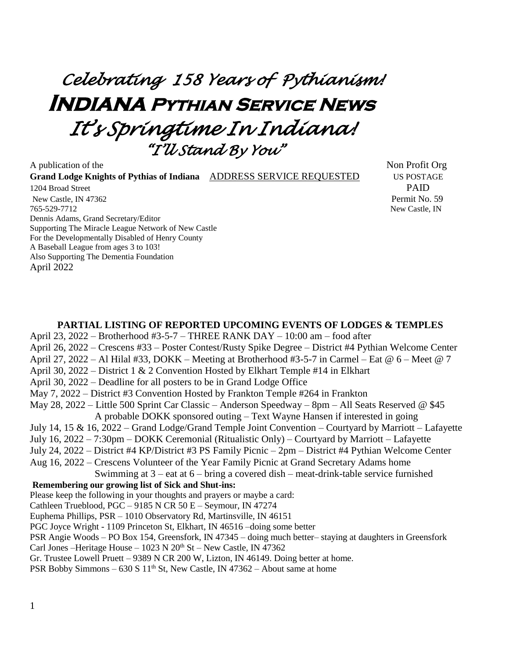# *Celebrating 158 Years of Pythianism!*  **Indiana Pythian Service News**  *It's Springtime In Indiana! "I'll Stand By You"*

A publication of the Non-**Grand Lodge Knights of Pythias of Indiana** ADDRESS SERVICE REQUESTED US POSTAGE 1204 Broad Street PAID New Castle, IN 47362 Permit No. 59 765-529-7712 New Castle, IN Dennis Adams, Grand Secretary/Editor Supporting The Miracle League Network of New Castle For the Developmentally Disabled of Henry County A Baseball League from ages 3 to 103! Also Supporting The Dementia Foundation April 2022

#### **PARTIAL LISTING OF REPORTED UPCOMING EVENTS OF LODGES & TEMPLES**

April 23, 2022 – Brotherhood #3-5-7 – THREE RANK DAY – 10:00 am – food after April 26, 2022 – Crescens #33 – Poster Contest/Rusty Spike Degree – District #4 Pythian Welcome Center April 27, 2022 – Al Hilal #33, DOKK – Meeting at Brotherhood #3-5-7 in Carmel – Eat @ 6 – Meet @ 7 April 30, 2022 – District 1 & 2 Convention Hosted by Elkhart Temple #14 in Elkhart April 30, 2022 – Deadline for all posters to be in Grand Lodge Office May 7, 2022 – District #3 Convention Hosted by Frankton Temple #264 in Frankton May 28, 2022 – Little 500 Sprint Car Classic – Anderson Speedway – 8pm – All Seats Reserved @ \$45 A probable DOKK sponsored outing – Text Wayne Hansen if interested in going July 14, 15 & 16, 2022 – Grand Lodge/Grand Temple Joint Convention – Courtyard by Marriott – Lafayette July 16, 2022 – 7:30pm – DOKK Ceremonial (Ritualistic Only) – Courtyard by Marriott – Lafayette July 24, 2022 – District #4 KP/District #3 PS Family Picnic – 2pm – District #4 Pythian Welcome Center Aug 16, 2022 – Crescens Volunteer of the Year Family Picnic at Grand Secretary Adams home Swimming at  $3 -$  eat at  $6 -$  bring a covered dish – meat-drink-table service furnished **Remembering our growing list of Sick and Shut-ins:** Please keep the following in your thoughts and prayers or maybe a card: Cathleen Trueblood, PGC – 9185 N CR 50 E – Seymour, IN 47274 Euphema Phillips, PSR – 1010 Observatory Rd, Martinsville, IN 46151 PGC Joyce Wright - 1109 Princeton St, Elkhart, IN 46516 –doing some better PSR Angie Woods – PO Box 154, Greensfork, IN 47345 – doing much better– staying at daughters in Greensfork Carl Jones –Heritage House –  $1023$  N  $20<sup>th</sup>$  St – New Castle, IN 47362 Gr. Trustee Lowell Pruett – 9389 N CR 200 W, Lizton, IN 46149. Doing better at home. PSR Bobby Simmons – 630 S  $11<sup>th</sup>$  St, New Castle, IN 47362 – About same at home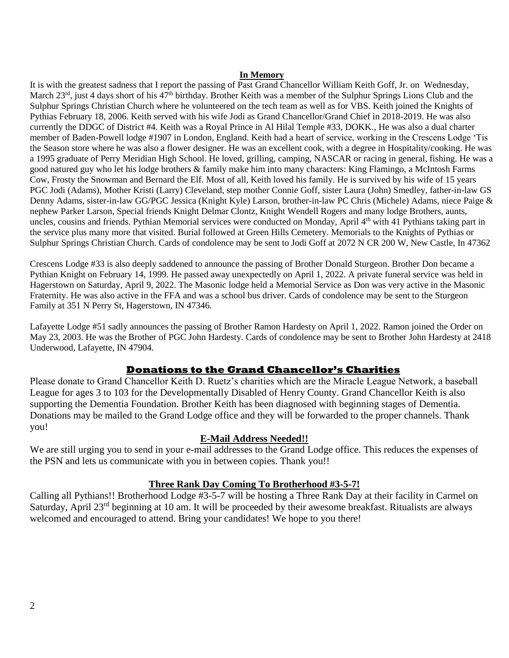#### **In Memory**

It is with the greatest sadness that I report the passing of Past Grand Chancellor William Keith Goff, Jr. on Wednesday, March 23<sup>rd</sup>, just 4 days short of his 47<sup>th</sup> birthday. Brother Keith was a member of the Sulphur Springs Lions Club and the Sulphur Springs Christian Church where he volunteered on the tech team as well as for VBS. Keith joined the Knights of Pythias February 18, 2006. Keith served with his wife Jodi as Grand Chancellor/Grand Chief in 2018-2019. He was also currently the DDGC of District #4. Keith was a Royal Prince in Al Hilal Temple #33, DOKK., He was also a dual charter member of Baden-Powell lodge #1907 in London, England. Keith had a heart of service, working in the Crescens Lodge 'Tis the Season store where he was also a flower designer. He was an excellent cook, with a degree in Hospitality/cooking. He was a 1995 graduate of Perry Meridian High School. He loved, grilling, camping, NASCAR or racing in general, fishing. He was a good natured guy who let his lodge brothers & family make him into many characters: King Flamingo, a McIntosh Farms Cow, Frosty the Snowman and Bernard the Elf. Most of all, Keith loved his family. He is survived by his wife of 15 years PGC Jodi (Adams), Mother Kristi (Larry) Cleveland, step mother Connie Goff, sister Laura (John) Smedley, father-in-law GS Denny Adams, sister-in-law GG/PGC Jessica (Knight Kyle) Larson, brother-in-law PC Chris (Michele) Adams, niece Paige & nephew Parker Larson, Special friends Knight Delmar Clontz, Knight Wendell Rogers and many lodge Brothers, aunts, uncles, cousins and friends. Pythian Memorial services were conducted on Monday, April 4<sup>th</sup> with 41 Pythians taking part in the service plus many more that visited. Burial followed at Green Hills Cemetery. Memorials to the Knights of Pythias or Sulphur Springs Christian Church. Cards of condolence may be sent to Jodi Goff at 2072 N CR 200 W, New Castle, In 47362

Crescens Lodge #33 is also deeply saddened to announce the passing of Brother Donald Sturgeon. Brother Don became a Pythian Knight on February 14, 1999. He passed away unexpectedly on April 1, 2022. A private funeral service was held in Hagerstown on Saturday, April 9, 2022. The Masonic lodge held a Memorial Service as Don was very active in the Masonic Fraternity. He was also active in the FFA and was a school bus driver. Cards of condolence may be sent to the Sturgeon Family at 351 N Perry St, Hagerstown, IN 47346.

Lafayette Lodge #51 sadly announces the passing of Brother Ramon Hardesty on April 1, 2022. Ramon joined the Order on May 23, 2003. He was the Brother of PGC John Hardesty. Cards of condolence may be sent to Brother John Hardesty at 2418 Underwood, Lafayette, IN 47904.

#### **Donations to the Grand Chancellor's Charities**

Please donate to Grand Chancellor Keith D. Ruetz's charities which are the Miracle League Network, a baseball League for ages 3 to 103 for the Developmentally Disabled of Henry County. Grand Chancellor Keith is also supporting the Dementia Foundation. Brother Keith has been diagnosed with beginning stages of Dementia. Donations may be mailed to the Grand Lodge office and they will be forwarded to the proper channels. Thank you!

#### **E-Mail Address Needed!!**

We are still urging you to send in your e-mail addresses to the Grand Lodge office. This reduces the expenses of the PSN and lets us communicate with you in between copies. Thank you!!

#### **Three Rank Day Coming To Brotherhood #3-5-7!**

Calling all Pythians!! Brotherhood Lodge #3-5-7 will be hosting a Three Rank Day at their facility in Carmel on Saturday, April 23<sup>rd</sup> beginning at 10 am. It will be proceeded by their awesome breakfast. Ritualists are always welcomed and encouraged to attend. Bring your candidates! We hope to you there!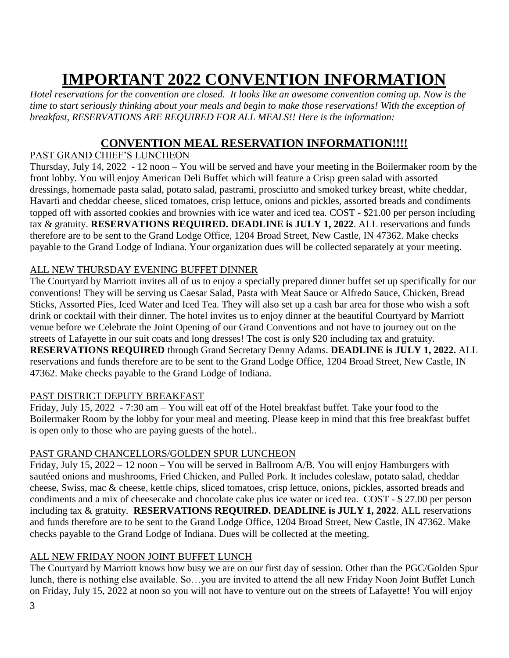## **IMPORTANT 2022 CONVENTION INFORMATION**

*Hotel reservations for the convention are closed. It looks like an awesome convention coming up. Now is the time to start seriously thinking about your meals and begin to make those reservations! With the exception of breakfast, RESERVATIONS ARE REQUIRED FOR ALL MEALS!! Here is the information:*

## **CONVENTION MEAL RESERVATION INFORMATION!!!!**

#### PAST GRAND CHIEF'S LUNCHEON

Thursday, July 14, 2022 - 12 noon – You will be served and have your meeting in the Boilermaker room by the front lobby. You will enjoy American Deli Buffet which will feature a Crisp green salad with assorted dressings, homemade pasta salad, potato salad, pastrami, prosciutto and smoked turkey breast, white cheddar, Havarti and cheddar cheese, sliced tomatoes, crisp lettuce, onions and pickles, assorted breads and condiments topped off with assorted cookies and brownies with ice water and iced tea. COST - \$21.00 per person including tax & gratuity. **RESERVATIONS REQUIRED. DEADLINE is JULY 1, 2022**. ALL reservations and funds therefore are to be sent to the Grand Lodge Office, 1204 Broad Street, New Castle, IN 47362. Make checks payable to the Grand Lodge of Indiana. Your organization dues will be collected separately at your meeting.

### ALL NEW THURSDAY EVENING BUFFET DINNER

The Courtyard by Marriott invites all of us to enjoy a specially prepared dinner buffet set up specifically for our conventions! They will be serving us Caesar Salad, Pasta with Meat Sauce or Alfredo Sauce, Chicken, Bread Sticks, Assorted Pies, Iced Water and Iced Tea. They will also set up a cash bar area for those who wish a soft drink or cocktail with their dinner. The hotel invites us to enjoy dinner at the beautiful Courtyard by Marriott venue before we Celebrate the Joint Opening of our Grand Conventions and not have to journey out on the streets of Lafayette in our suit coats and long dresses! The cost is only \$20 including tax and gratuity. **RESERVATIONS REQUIRED** through Grand Secretary Denny Adams. **DEADLINE is JULY 1, 2022.** ALL reservations and funds therefore are to be sent to the Grand Lodge Office, 1204 Broad Street, New Castle, IN 47362. Make checks payable to the Grand Lodge of Indiana.

#### PAST DISTRICT DEPUTY BREAKFAST

Friday, July 15, 2022 - 7:30 am – You will eat off of the Hotel breakfast buffet. Take your food to the Boilermaker Room by the lobby for your meal and meeting. Please keep in mind that this free breakfast buffet is open only to those who are paying guests of the hotel..

#### PAST GRAND CHANCELLORS/GOLDEN SPUR LUNCHEON

Friday, July 15, 2022 – 12 noon – You will be served in Ballroom A/B. You will enjoy Hamburgers with sautéed onions and mushrooms, Fried Chicken, and Pulled Pork. It includes coleslaw, potato salad, cheddar cheese, Swiss, mac & cheese, kettle chips, sliced tomatoes, crisp lettuce, onions, pickles, assorted breads and condiments and a mix of cheesecake and chocolate cake plus ice water or iced tea. COST - \$ 27.00 per person including tax & gratuity. **RESERVATIONS REQUIRED. DEADLINE is JULY 1, 2022**. ALL reservations and funds therefore are to be sent to the Grand Lodge Office, 1204 Broad Street, New Castle, IN 47362. Make checks payable to the Grand Lodge of Indiana. Dues will be collected at the meeting.

#### ALL NEW FRIDAY NOON JOINT BUFFET LUNCH

The Courtyard by Marriott knows how busy we are on our first day of session. Other than the PGC/Golden Spur lunch, there is nothing else available. So…you are invited to attend the all new Friday Noon Joint Buffet Lunch on Friday, July 15, 2022 at noon so you will not have to venture out on the streets of Lafayette! You will enjoy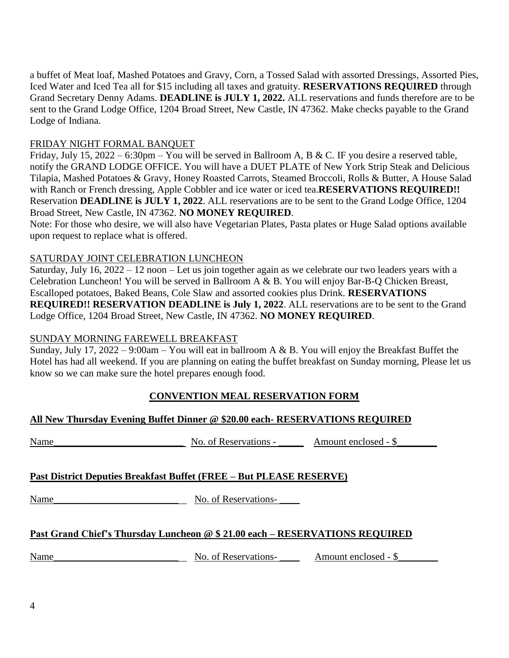a buffet of Meat loaf, Mashed Potatoes and Gravy, Corn, a Tossed Salad with assorted Dressings, Assorted Pies, Iced Water and Iced Tea all for \$15 including all taxes and gratuity. **RESERVATIONS REQUIRED** through Grand Secretary Denny Adams. **DEADLINE is JULY 1, 2022.** ALL reservations and funds therefore are to be sent to the Grand Lodge Office, 1204 Broad Street, New Castle, IN 47362. Make checks payable to the Grand Lodge of Indiana.

#### FRIDAY NIGHT FORMAL BANQUET

Friday, July 15, 2022 – 6:30pm – You will be served in Ballroom A, B & C. IF you desire a reserved table, notify the GRAND LODGE OFFICE. You will have a DUET PLATE of New York Strip Steak and Delicious Tilapia, Mashed Potatoes & Gravy, Honey Roasted Carrots, Steamed Broccoli, Rolls & Butter, A House Salad with Ranch or French dressing, Apple Cobbler and ice water or iced tea.**RESERVATIONS REQUIRED!!**  Reservation **DEADLINE is JULY 1, 2022**. ALL reservations are to be sent to the Grand Lodge Office, 1204 Broad Street, New Castle, IN 47362. **NO MONEY REQUIRED**.

Note: For those who desire, we will also have Vegetarian Plates, Pasta plates or Huge Salad options available upon request to replace what is offered.

### SATURDAY JOINT CELEBRATION LUNCHEON

Saturday, July 16, 2022 – 12 noon – Let us join together again as we celebrate our two leaders years with a Celebration Luncheon! You will be served in Ballroom A & B. You will enjoy Bar-B-Q Chicken Breast, Escalloped potatoes, Baked Beans, Cole Slaw and assorted cookies plus Drink. **RESERVATIONS REQUIRED!! RESERVATION DEADLINE is July 1, 2022**. ALL reservations are to be sent to the Grand Lodge Office, 1204 Broad Street, New Castle, IN 47362. **NO MONEY REQUIRED**.

#### SUNDAY MORNING FAREWELL BREAKFAST

Sunday, July 17, 2022 – 9:00am – You will eat in ballroom A & B. You will enjoy the Breakfast Buffet the Hotel has had all weekend. If you are planning on eating the buffet breakfast on Sunday morning, Please let us know so we can make sure the hotel prepares enough food.

## **CONVENTION MEAL RESERVATION FORM**

| All New Thursday Evening Buffet Dinner @ \$20.00 each-RESERVATIONS REQUIRED  |                                              |  |  |
|------------------------------------------------------------------------------|----------------------------------------------|--|--|
| Name                                                                         | No. of Reservations - Amount enclosed - \$   |  |  |
| Past District Deputies Breakfast Buffet (FREE – But PLEASE RESERVE)          |                                              |  |  |
| Name                                                                         | No. of Reservations-                         |  |  |
| Past Grand Chief's Thursday Luncheon @ \$ 21.00 each – RESERVATIONS REQUIRED |                                              |  |  |
| Name                                                                         | No. of Reservations-<br>Amount enclosed - \$ |  |  |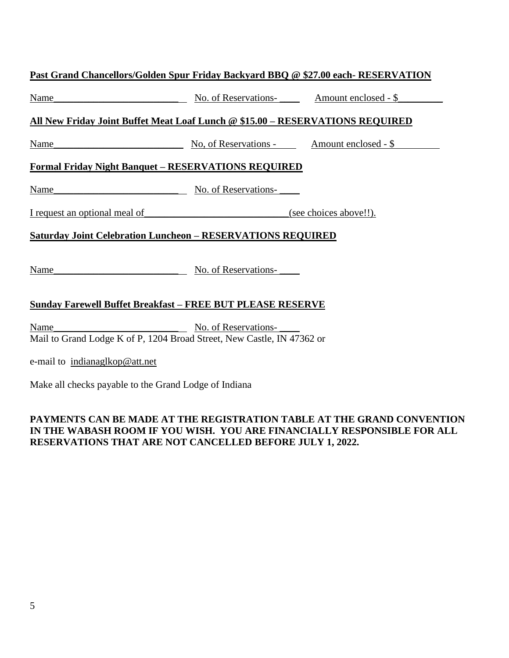| Past Grand Chancellors/Golden Spur Friday Backyard BBQ @ \$27.00 each- RESERVATION                            |                                                     |                        |  |  |
|---------------------------------------------------------------------------------------------------------------|-----------------------------------------------------|------------------------|--|--|
| <u>Name</u><br><u> 1989 - Johann Barbara, martin amerikan basar da</u>                                        | No. of Reservations-<br><u>Amount enclosed - \$</u> |                        |  |  |
| All New Friday Joint Buffet Meat Loaf Lunch @ \$15.00 - RESERVATIONS REQUIRED                                 |                                                     |                        |  |  |
| Name_<br><u> 1980 - Johann Barn, mars ar breithinn ar chomhair an t-</u>                                      | No, of Reservations - Amount enclosed - \$          |                        |  |  |
| <b>Formal Friday Night Banquet - RESERVATIONS REQUIRED</b>                                                    |                                                     |                        |  |  |
| Name_<br><u> 1989 - Johann Bernstein, mars an deutscher Amerikaanse kommen.</u>                               | No. of Reservations-                                |                        |  |  |
| I request an optional meal of                                                                                 |                                                     | (see choices above!!). |  |  |
| <b>Saturday Joint Celebration Luncheon - RESERVATIONS REQUIRED</b>                                            |                                                     |                        |  |  |
| Name                                                                                                          | No. of Reservations-                                |                        |  |  |
| Sunday Farewell Buffet Breakfast – FREE BUT PLEASE RESERVE                                                    |                                                     |                        |  |  |
| No. of Reservations-<br><u>Name</u><br>Mail to Grand Lodge K of P, 1204 Broad Street, New Castle, IN 47362 or |                                                     |                        |  |  |
| e-mail to indianaglkop@att.net                                                                                |                                                     |                        |  |  |

Make all checks payable to the Grand Lodge of Indiana

### **PAYMENTS CAN BE MADE AT THE REGISTRATION TABLE AT THE GRAND CONVENTION IN THE WABASH ROOM IF YOU WISH. YOU ARE FINANCIALLY RESPONSIBLE FOR ALL RESERVATIONS THAT ARE NOT CANCELLED BEFORE JULY 1, 2022.**